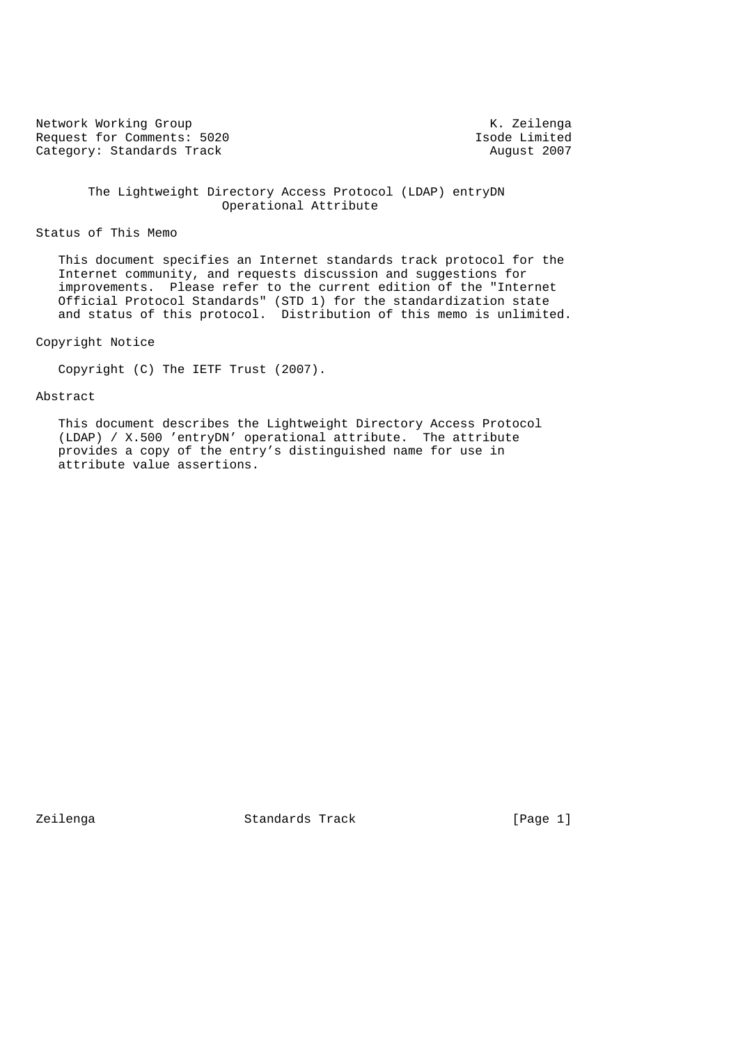Network Working Group<br>Request for Comments: 5020 Tsode Limited Request for Comments: 5020<br>
Category: Standards Track<br>
2007 Category: Standards Track

 The Lightweight Directory Access Protocol (LDAP) entryDN Operational Attribute

# Status of This Memo

 This document specifies an Internet standards track protocol for the Internet community, and requests discussion and suggestions for improvements. Please refer to the current edition of the "Internet Official Protocol Standards" (STD 1) for the standardization state and status of this protocol. Distribution of this memo is unlimited.

# Copyright Notice

Copyright (C) The IETF Trust (2007).

# Abstract

 This document describes the Lightweight Directory Access Protocol (LDAP) / X.500 'entryDN' operational attribute. The attribute provides a copy of the entry's distinguished name for use in attribute value assertions.

Zeilenga Standards Track [Page 1]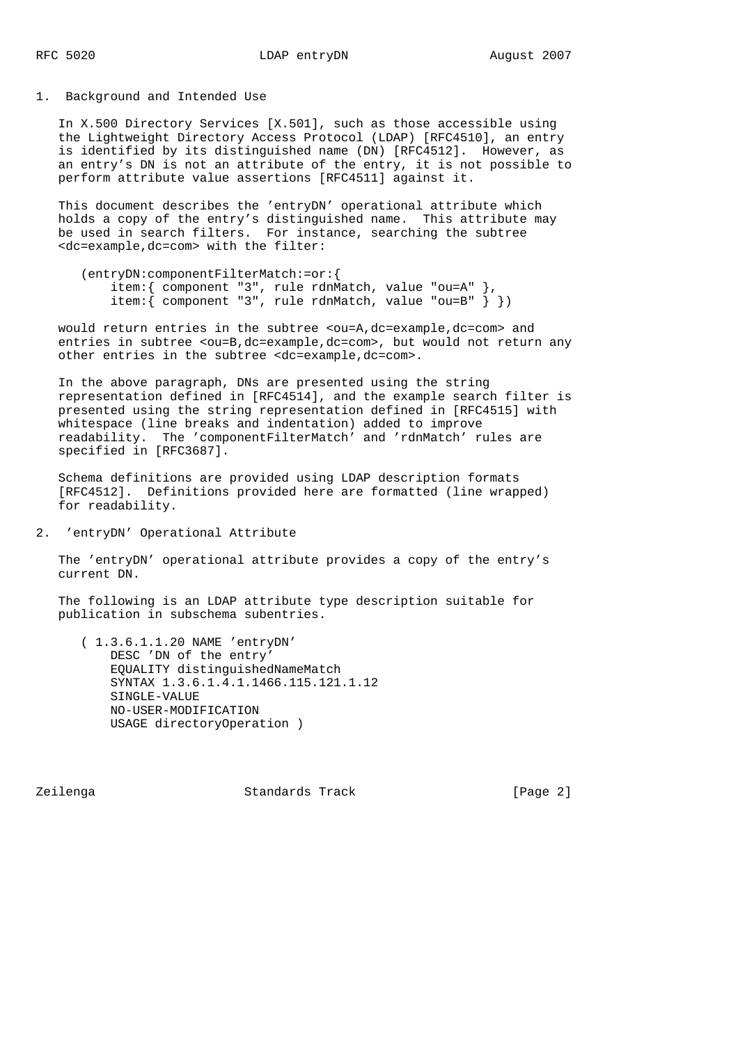1. Background and Intended Use

 In X.500 Directory Services [X.501], such as those accessible using the Lightweight Directory Access Protocol (LDAP) [RFC4510], an entry is identified by its distinguished name (DN) [RFC4512]. However, as an entry's DN is not an attribute of the entry, it is not possible to perform attribute value assertions [RFC4511] against it.

 This document describes the 'entryDN' operational attribute which holds a copy of the entry's distinguished name. This attribute may be used in search filters. For instance, searching the subtree <dc=example,dc=com> with the filter:

```
 (entryDN:componentFilterMatch:=or:{
     item:{ component "3", rule rdnMatch, value "ou=A" },
    item: { component "3", rule rdnMatch, value "ou=B" \} })
```
would return entries in the subtree <ou=A,dc=example,dc=com> and entries in subtree <ou=B,dc=example,dc=com>, but would not return any other entries in the subtree <dc=example,dc=com>.

 In the above paragraph, DNs are presented using the string representation defined in [RFC4514], and the example search filter is presented using the string representation defined in [RFC4515] with whitespace (line breaks and indentation) added to improve readability. The 'componentFilterMatch' and 'rdnMatch' rules are specified in [RFC3687].

 Schema definitions are provided using LDAP description formats [RFC4512]. Definitions provided here are formatted (line wrapped) for readability.

2. 'entryDN' Operational Attribute

 The 'entryDN' operational attribute provides a copy of the entry's current DN.

 The following is an LDAP attribute type description suitable for publication in subschema subentries.

 ( 1.3.6.1.1.20 NAME 'entryDN' DESC 'DN of the entry' EQUALITY distinguishedNameMatch SYNTAX 1.3.6.1.4.1.1466.115.121.1.12 SINGLE-VALUE NO-USER-MODIFICATION USAGE directoryOperation )

Zeilenga Standards Track [Page 2]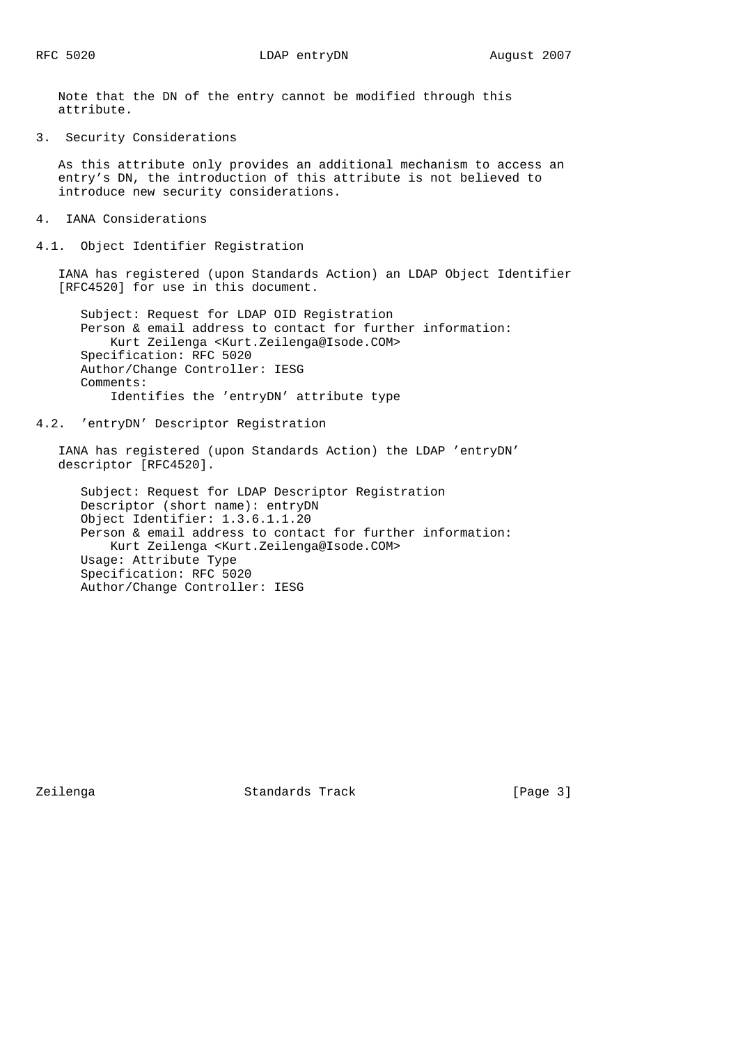Note that the DN of the entry cannot be modified through this attribute.

3. Security Considerations

 As this attribute only provides an additional mechanism to access an entry's DN, the introduction of this attribute is not believed to introduce new security considerations.

- 4. IANA Considerations
- 4.1. Object Identifier Registration

 IANA has registered (upon Standards Action) an LDAP Object Identifier [RFC4520] for use in this document.

 Subject: Request for LDAP OID Registration Person & email address to contact for further information: Kurt Zeilenga <Kurt.Zeilenga@Isode.COM> Specification: RFC 5020 Author/Change Controller: IESG Comments: Identifies the 'entryDN' attribute type

4.2. 'entryDN' Descriptor Registration

 IANA has registered (upon Standards Action) the LDAP 'entryDN' descriptor [RFC4520].

 Subject: Request for LDAP Descriptor Registration Descriptor (short name): entryDN Object Identifier: 1.3.6.1.1.20 Person & email address to contact for further information: Kurt Zeilenga <Kurt.Zeilenga@Isode.COM> Usage: Attribute Type Specification: RFC 5020 Author/Change Controller: IESG

Zeilenga **Standards Track** [Page 3]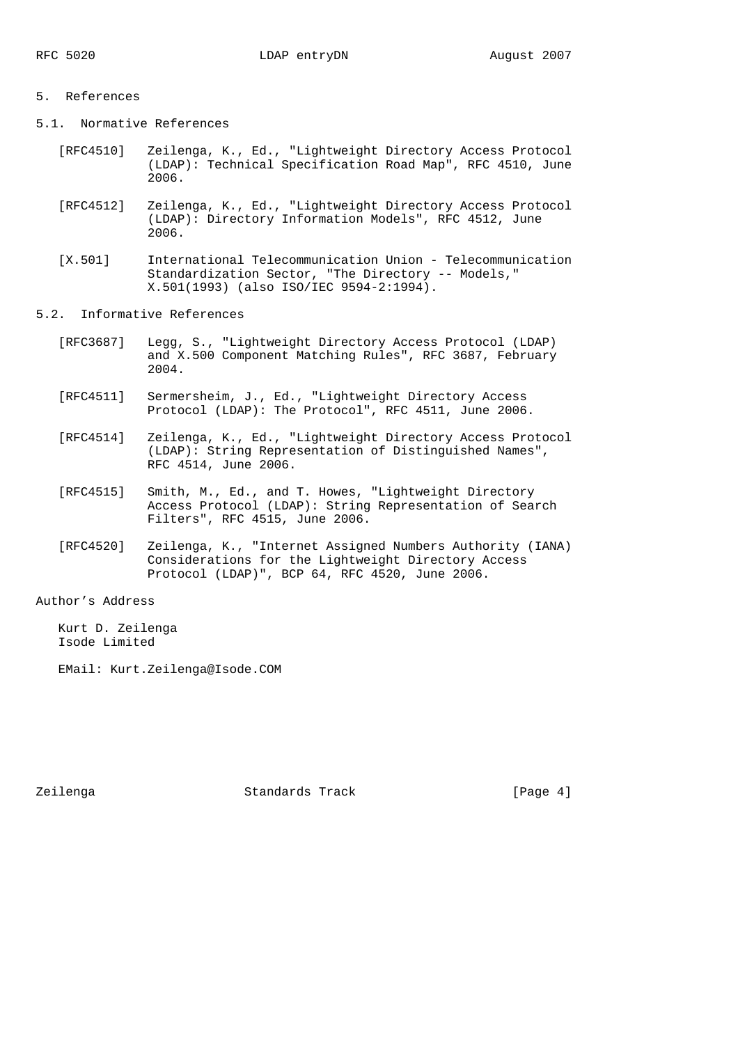### 5. References

- 5.1. Normative References
	- [RFC4510] Zeilenga, K., Ed., "Lightweight Directory Access Protocol (LDAP): Technical Specification Road Map", RFC 4510, June 2006.
	- [RFC4512] Zeilenga, K., Ed., "Lightweight Directory Access Protocol (LDAP): Directory Information Models", RFC 4512, June 2006.
	- [X.501] International Telecommunication Union Telecommunication Standardization Sector, "The Directory -- Models," X.501(1993) (also ISO/IEC 9594-2:1994).
- 5.2. Informative References
	- [RFC3687] Legg, S., "Lightweight Directory Access Protocol (LDAP) and X.500 Component Matching Rules", RFC 3687, February 2004.
	- [RFC4511] Sermersheim, J., Ed., "Lightweight Directory Access Protocol (LDAP): The Protocol", RFC 4511, June 2006.
	- [RFC4514] Zeilenga, K., Ed., "Lightweight Directory Access Protocol (LDAP): String Representation of Distinguished Names", RFC 4514, June 2006.
	- [RFC4515] Smith, M., Ed., and T. Howes, "Lightweight Directory Access Protocol (LDAP): String Representation of Search Filters", RFC 4515, June 2006.
	- [RFC4520] Zeilenga, K., "Internet Assigned Numbers Authority (IANA) Considerations for the Lightweight Directory Access Protocol (LDAP)", BCP 64, RFC 4520, June 2006.

# Author's Address

 Kurt D. Zeilenga Isode Limited

EMail: Kurt.Zeilenga@Isode.COM

Zeilenga Standards Track [Page 4]